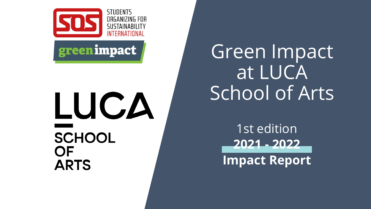

## greenimpact

# LUCA **SCHOOL** OF **ARTS**

Green Impact at LUCA School of Arts

> 1st edition **2021 - 2022 Impact Report**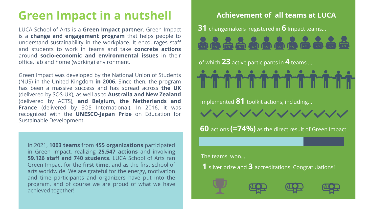### **Green Impact in a nutshell**

LUCA School of Arts is a **Green Impact partner**. Green Impact is a **change and engagement program** that helps people to understand sustainability in the workplace. It encourages staff and students to work in teams and take **concrete actions** around **socio-economic and environmental issues** in their office, lab and home (working) environment.

(UCIIVEI CU DY JOJ-ON), as well as to **Aus** Green Impact was developed by the National Union of Students (NUS) in the United Kingdom **in 2006**. Since then, the program has been a massive success and has spread across **the UK** (delivered by SOS-UK), as well as to **Australia and New Zealand** (delivered by ACTS), **and Belgium, the Netherlands and France** (delivered by SOS International). In 2016, it was recognized with the **UNESCO-Japan Prize** on Education for Sustainable Development.

In 2021, **1003 teams** from **455 organizations** participated in Green Impact, realizing **25.547 actions** and involving **59.126 staff and 740 students**. LUCA School of Arts ran Green Impact for the **first time,** and as the first school of arts worldwide. We are grateful for the energy, motivation and time participants and organizers have put into the program, and of course we are proud of what we have achieved together!

#### **Achievement of all teams at LUCA**

**31** changemakers registered in **6** Impact teams…

of which **23** active participants in **4** teams …

implemented **81** toolkit actions, including…

マンソソソソソソソソン

**60** actions **(=74%)** as the direct result of Green Impact.

The teams won…

**1** silver prize and **3** accreditations. Congratulations!





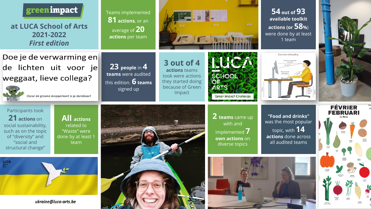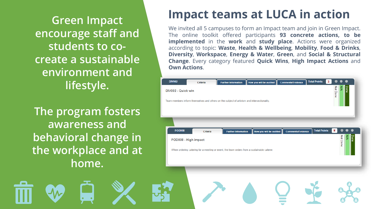**Green Impact encourage staff and students to cocreate a sustainable environment and lifestyle.**

**The program fosters awareness and behavioral change in the workplace and at home.**

### **Impact teams at LUCA in action**

We invited all 5 campuses to form an Impact team and join in Green Impact. The online toolkit offered participants **93 concrete actions, to be implemented** in the **work** and **study place**. Actions were organized according to topic: **Waste**, **Health & Wellbeing**, **Mobility**, **Food & Drinks**, **Diversity**, **Workspace**, **Energy & Water**, **Green**, and **Social & Structural Change**. Every category featured **Quick Wins**, **High Impact Actions** and **Own Actions**.

| Team members inform themselves and others on the subject of artivism and intersectionality.<br><b>FOD008</b><br><b>Total Points</b><br>8<br><b>Comments/Evidence</b><br>How you will be audited<br><b>Further Information</b><br>Criteria<br><b>Not Done</b><br>Done<br>ξ<br>FOD008 - High impact |
|---------------------------------------------------------------------------------------------------------------------------------------------------------------------------------------------------------------------------------------------------------------------------------------------------|
|                                                                                                                                                                                                                                                                                                   |
|                                                                                                                                                                                                                                                                                                   |
| When ordering catering for a meeting or event, the team orders from a sustainable caterer.                                                                                                                                                                                                        |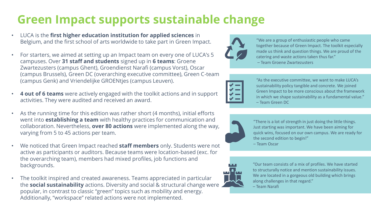### **Green Impact supports sustainable change**

- LUCA is the **first higher education institution for applied sciences** in Belgium, and the first school of arts worldwide to take part in Green Impact.
- For starters, we aimed at setting up an Impact team on every one of LUCA's 5 campuses. Over **31 staff and students** signed up in **6 teams**: Groene Zwartezusters (campus Ghent), Groendienst Narafi (campus Vorst), Oscar (campus Brussels), Green DC (overarching executive committee), Green C-team (campus Genk) and Vriendelijke GROENtjes (campus Leuven).
- **4 out of 6 teams** were actively engaged with the toolkit actions and in support activities. They were audited and received an award.
- As the running time for this edition was rather short (4 months), initial efforts went into **establishing a team** with healthy practices for communication and collaboration. Nevertheless, **over 80 actions** were implemented along the way, varying from 5 to 45 actions per team.
- We noticed that Green Impact reached **staff members** only. Students were not active as participants or auditors. Because teams were location-based (exc. for the overarching team), members had mixed profiles, job functions and backgrounds.
- The toolkit inspired and created awareness. Teams appreciated in particular the **social sustainability** actions. Diversity and social & structural change were popular, in contrast to classic "green" topics such as mobility and energy. Additionally, "workspace" related actions were not implemented.



"We are a group of enthusiastic people who came together because of Green Impact. The toolkit especially made us think and question things. We are proud of the catering and waste actions taken thus far."

– Team Groene Zwartezusters



"As the executive committee, we want to make LUCA's sustainability policy tangible and concrete. We joined Green Impact to be more conscious about the framework in which we shape sustainability as a fundamental value." – Team Green DC



"There is a lot of strength in just doing the little things. Just starting was important. We have been aiming for quick wins, focused on our own campus. We are ready for the second edition to begin!"

– Team Oscar



"Our team consists of a mix of profiles. We have started to structurally notice and mention sustainability issues. We are located in a gorgeous old building which brings along challenges in that regard."

– Team Narafi